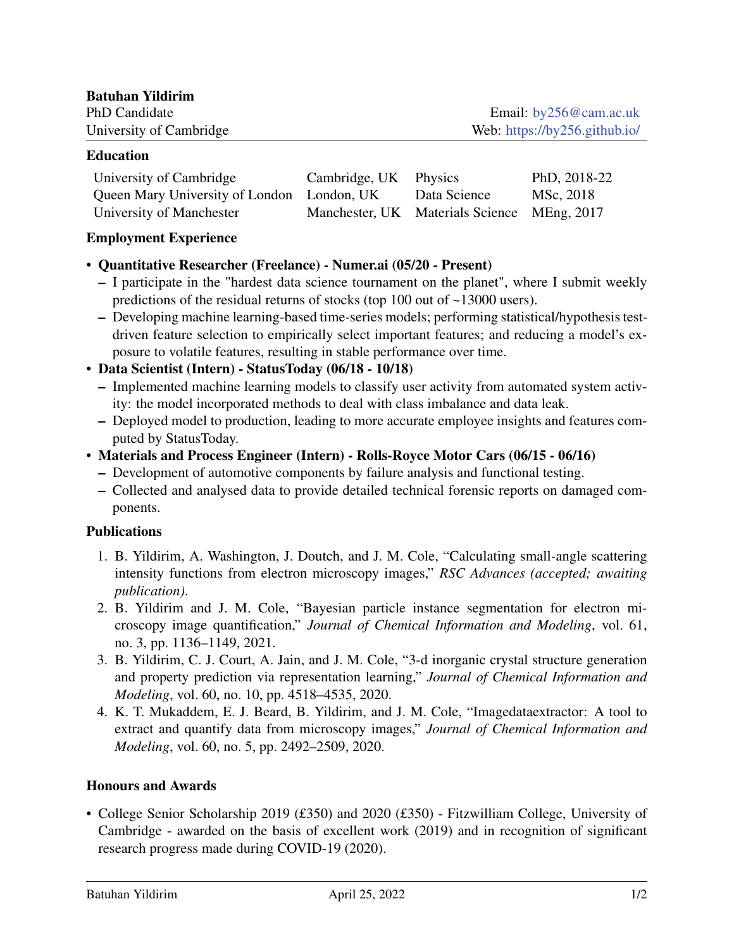| <b>Batuhan Yildirim</b> |                               |
|-------------------------|-------------------------------|
| PhD Candidate           | Email: $by256@cam.ac.uk$      |
| University of Cambridge | Web: https://by256.github.io/ |

#### Education

| University of Cambridge                    | Cambridge, UK Physics |                                             | PhD, 2018-22 |
|--------------------------------------------|-----------------------|---------------------------------------------|--------------|
| Queen Mary University of London London, UK |                       | Data Science                                | MSc, 2018    |
| University of Manchester                   |                       | Manchester, UK Materials Science MEng, 2017 |              |

#### Employment Experience

### • Quantitative Researcher (Freelance) - Numer.ai (05/20 - Present)

- I participate in the "hardest data science tournament on the planet", where I submit weekly predictions of the residual returns of stocks (top 100 out of ~13000 users).
- Developing machine learning-based time-series models; performing statistical/hypothesis testdriven feature selection to empirically select important features; and reducing a model's exposure to volatile features, resulting in stable performance over time.
- Data Scientist (Intern) StatusToday (06/18 10/18)
	- Implemented machine learning models to classify user activity from automated system activity: the model incorporated methods to deal with class imbalance and data leak.
	- Deployed model to production, leading to more accurate employee insights and features computed by StatusToday.
- Materials and Process Engineer (Intern) Rolls-Royce Motor Cars (06/15 06/16)
	- Development of automotive components by failure analysis and functional testing.
	- Collected and analysed data to provide detailed technical forensic reports on damaged components.

#### **Publications**

- 1. B. Yildirim, A. Washington, J. Doutch, and J. M. Cole, "Calculating small-angle scattering intensity functions from electron microscopy images," *RSC Advances (accepted; awaiting publication)*.
- 2. B. Yildirim and J. M. Cole, "Bayesian particle instance segmentation for electron microscopy image quantification," *Journal of Chemical Information and Modeling*, vol. 61, no. 3, pp. 1136–1149, 2021.
- 3. B. Yildirim, C. J. Court, A. Jain, and J. M. Cole, "3-d inorganic crystal structure generation and property prediction via representation learning," *Journal of Chemical Information and Modeling*, vol. 60, no. 10, pp. 4518–4535, 2020.
- 4. K. T. Mukaddem, E. J. Beard, B. Yildirim, and J. M. Cole, "Imagedataextractor: A tool to extract and quantify data from microscopy images," *Journal of Chemical Information and Modeling*, vol. 60, no. 5, pp. 2492–2509, 2020.

# Honours and Awards

• College Senior Scholarship 2019 (£350) and 2020 (£350) - Fitzwilliam College, University of Cambridge - awarded on the basis of excellent work (2019) and in recognition of significant research progress made during COVID-19 (2020).